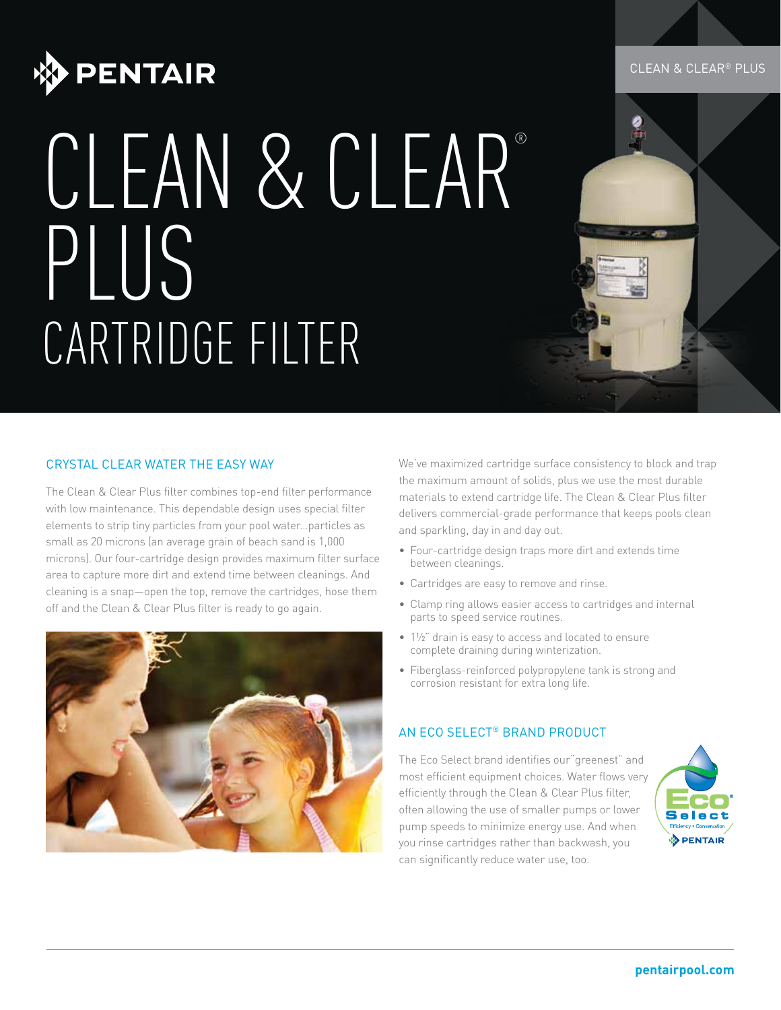

# CLEAN & CLEAR® PLUS CARTRIDGE FILTER

## CRYSTAL CLEAR WATER THE EASY WAY

The Clean & Clear Plus filter combines top-end filter performance with low maintenance. This dependable design uses special filter elements to strip tiny particles from your pool water…particles as small as 20 microns (an average grain of beach sand is 1,000 microns). Our four-cartridge design provides maximum filter surface area to capture more dirt and extend time between cleanings. And cleaning is a snap—open the top, remove the cartridges, hose them off and the Clean & Clear Plus filter is ready to go again.



We've maximized cartridge surface consistency to block and trap the maximum amount of solids, plus we use the most durable materials to extend cartridge life. The Clean & Clear Plus filter delivers commercial-grade performance that keeps pools clean and sparkling, day in and day out.

- Four-cartridge design traps more dirt and extends time between cleanings.
- Cartridges are easy to remove and rinse.
- Clamp ring allows easier access to cartridges and internal parts to speed service routines.
- 1½" drain is easy to access and located to ensure complete draining during winterization.
- Fiberglass-reinforced polypropylene tank is strong and corrosion resistant for extra long life.

### AN ECO SELECT® BRAND PRODUCT

The Eco Select brand identifies our"greenest" and most efficient equipment choices. Water flows very efficiently through the Clean & Clear Plus filter, often allowing the use of smaller pumps or lower pump speeds to minimize energy use. And when you rinse cartridges rather than backwash, you can significantly reduce water use, too.



#### CLEAN & CLEAR® PLUS